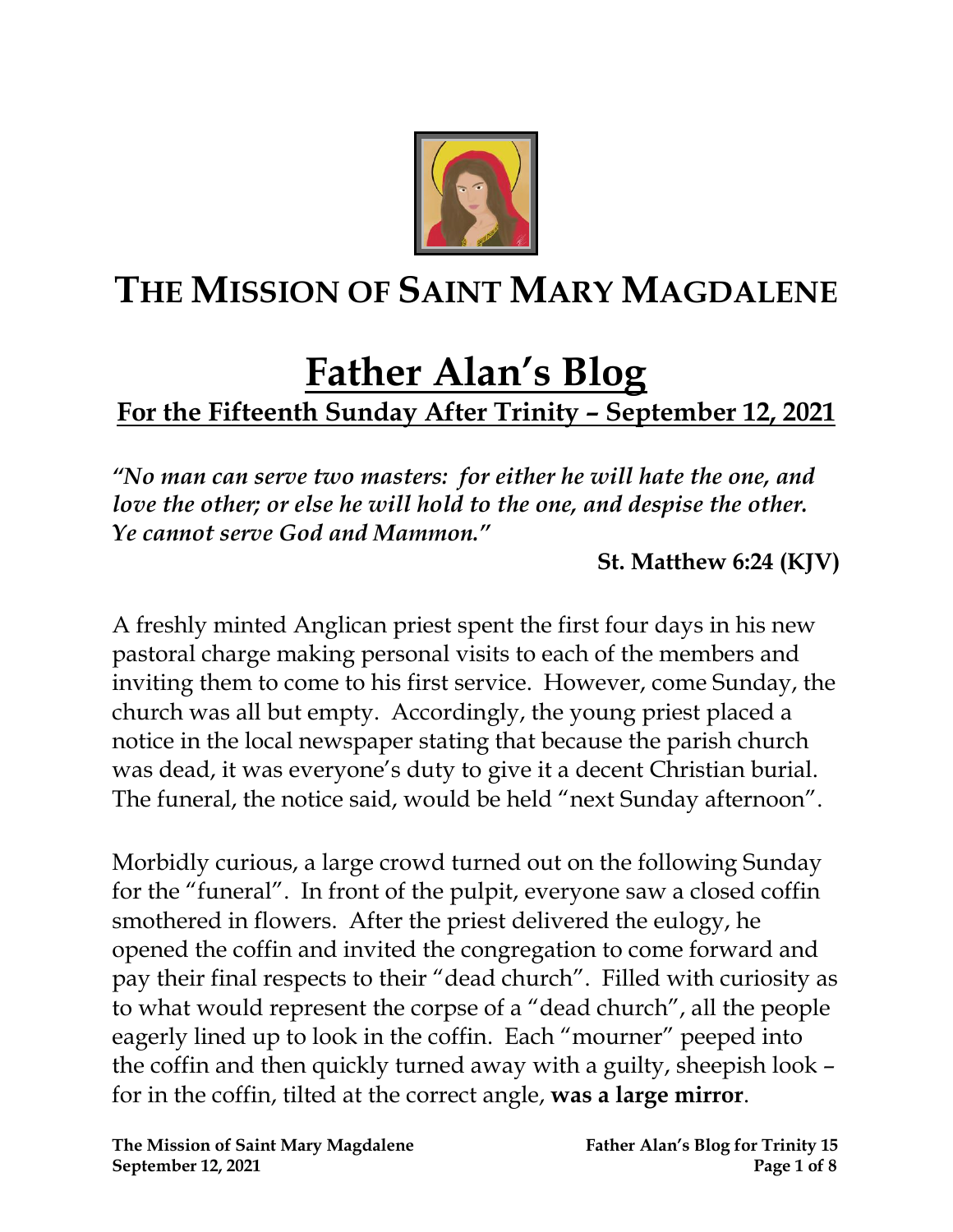

## **THE MISSION OF SAINT MARY MAGDALENE**

# **Father Alan's Blog**

**For the Fifteenth Sunday After Trinity – September 12, 2021**

*"No man can serve two masters: for either he will hate the one, and love the other; or else he will hold to the one, and despise the other. Ye cannot serve God and Mammon."* 

**St. Matthew 6:24 (KJV)**

A freshly minted Anglican priest spent the first four days in his new pastoral charge making personal visits to each of the members and inviting them to come to his first service. However, come Sunday, the church was all but empty. Accordingly, the young priest placed a notice in the local newspaper stating that because the parish church was dead, it was everyone's duty to give it a decent Christian burial. The funeral, the notice said, would be held "next Sunday afternoon".

Morbidly curious, a large crowd turned out on the following Sunday for the "funeral". In front of the pulpit, everyone saw a closed coffin smothered in flowers. After the priest delivered the eulogy, he opened the coffin and invited the congregation to come forward and pay their final respects to their "dead church". Filled with curiosity as to what would represent the corpse of a "dead church", all the people eagerly lined up to look in the coffin. Each "mourner" peeped into the coffin and then quickly turned away with a guilty, sheepish look – for in the coffin, tilted at the correct angle, **was a large mirror**.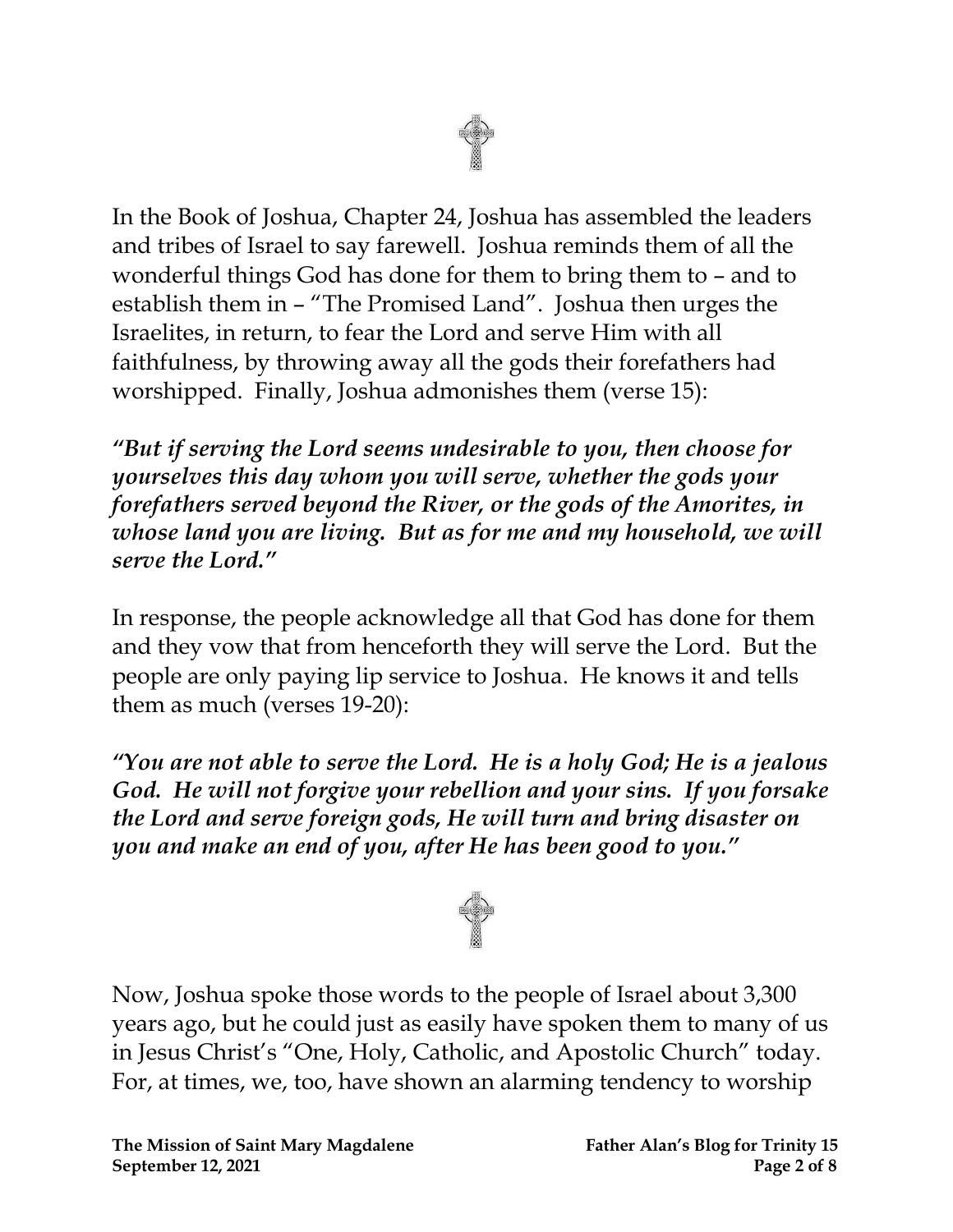

In the Book of Joshua, Chapter 24, Joshua has assembled the leaders and tribes of Israel to say farewell. Joshua reminds them of all the wonderful things God has done for them to bring them to – and to establish them in – "The Promised Land". Joshua then urges the Israelites, in return, to fear the Lord and serve Him with all faithfulness, by throwing away all the gods their forefathers had worshipped. Finally, Joshua admonishes them (verse 15):

*"But if serving the Lord seems undesirable to you, then choose for yourselves this day whom you will serve, whether the gods your forefathers served beyond the River, or the gods of the Amorites, in whose land you are living. But as for me and my household, we will serve the Lord."*

In response, the people acknowledge all that God has done for them and they vow that from henceforth they will serve the Lord. But the people are only paying lip service to Joshua. He knows it and tells them as much (verses 19-20):

*"You are not able to serve the Lord. He is a holy God; He is a jealous God. He will not forgive your rebellion and your sins. If you forsake the Lord and serve foreign gods, He will turn and bring disaster on you and make an end of you, after He has been good to you."*



Now, Joshua spoke those words to the people of Israel about 3,300 years ago, but he could just as easily have spoken them to many of us in Jesus Christ's "One, Holy, Catholic, and Apostolic Church" today. For, at times, we, too, have shown an alarming tendency to worship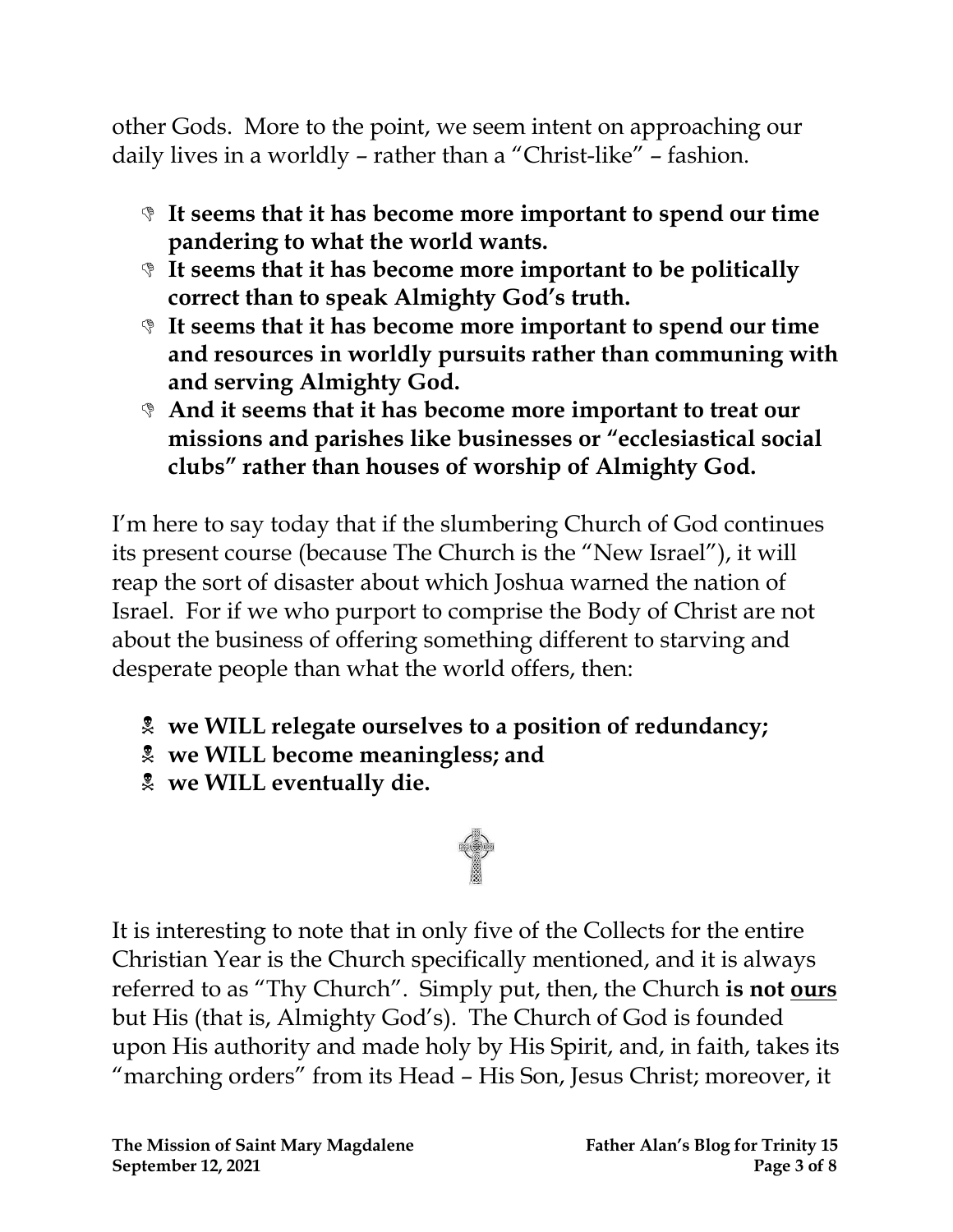other Gods. More to the point, we seem intent on approaching our daily lives in a worldly – rather than a "Christ-like" – fashion.

- **It seems that it has become more important to spend our time pandering to what the world wants.**
- **It seems that it has become more important to be politically correct than to speak Almighty God's truth.**
- **It seems that it has become more important to spend our time and resources in worldly pursuits rather than communing with and serving Almighty God.**
- **And it seems that it has become more important to treat our missions and parishes like businesses or "ecclesiastical social clubs" rather than houses of worship of Almighty God.**

I'm here to say today that if the slumbering Church of God continues its present course (because The Church is the "New Israel"), it will reap the sort of disaster about which Joshua warned the nation of Israel. For if we who purport to comprise the Body of Christ are not about the business of offering something different to starving and desperate people than what the world offers, then:

- **we WILL relegate ourselves to a position of redundancy;**
- **we WILL become meaningless; and**
- **we WILL eventually die.**



It is interesting to note that in only five of the Collects for the entire Christian Year is the Church specifically mentioned, and it is always referred to as "Thy Church". Simply put, then, the Church is not **ours** but His (that is, Almighty God's). The Church of God is founded upon His authority and made holy by His Spirit, and, in faith, takes its "marching orders" from its Head – His Son, Jesus Christ; moreover, it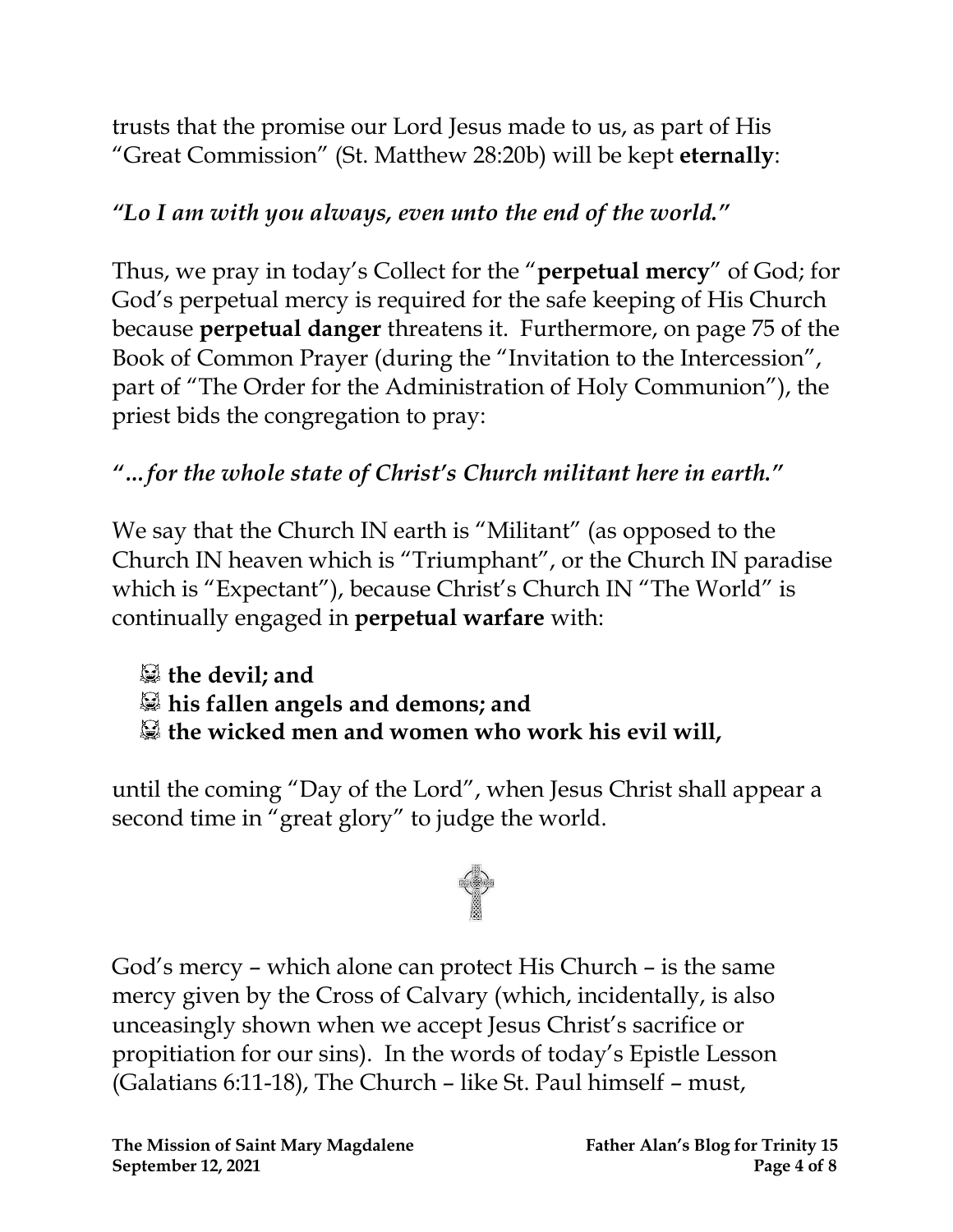trusts that the promise our Lord Jesus made to us, as part of His "Great Commission" (St. Matthew 28:20b) will be kept **eternally**:

### *"Lo I am with you always, even unto the end of the world."*

Thus, we pray in today's Collect for the "**perpetual mercy**" of God; for God's perpetual mercy is required for the safe keeping of His Church because **perpetual danger** threatens it. Furthermore, on page 75 of the Book of Common Prayer (during the "Invitation to the Intercession", part of "The Order for the Administration of Holy Communion"), the priest bids the congregation to pray:

### *"…for the whole state of Christ's Church militant here in earth."*

We say that the Church IN earth is "Militant" (as opposed to the Church IN heaven which is "Triumphant", or the Church IN paradise which is "Expectant"), because Christ's Church IN "The World" is continually engaged in **perpetual warfare** with:

**the devil; and his fallen angels and demons; and**

**the wicked men and women who work his evil will,**

until the coming "Day of the Lord", when Jesus Christ shall appear a second time in "great glory" to judge the world.



God's mercy – which alone can protect His Church – is the same mercy given by the Cross of Calvary (which, incidentally, is also unceasingly shown when we accept Jesus Christ's sacrifice or propitiation for our sins). In the words of today's Epistle Lesson (Galatians 6:11-18), The Church – like St. Paul himself – must,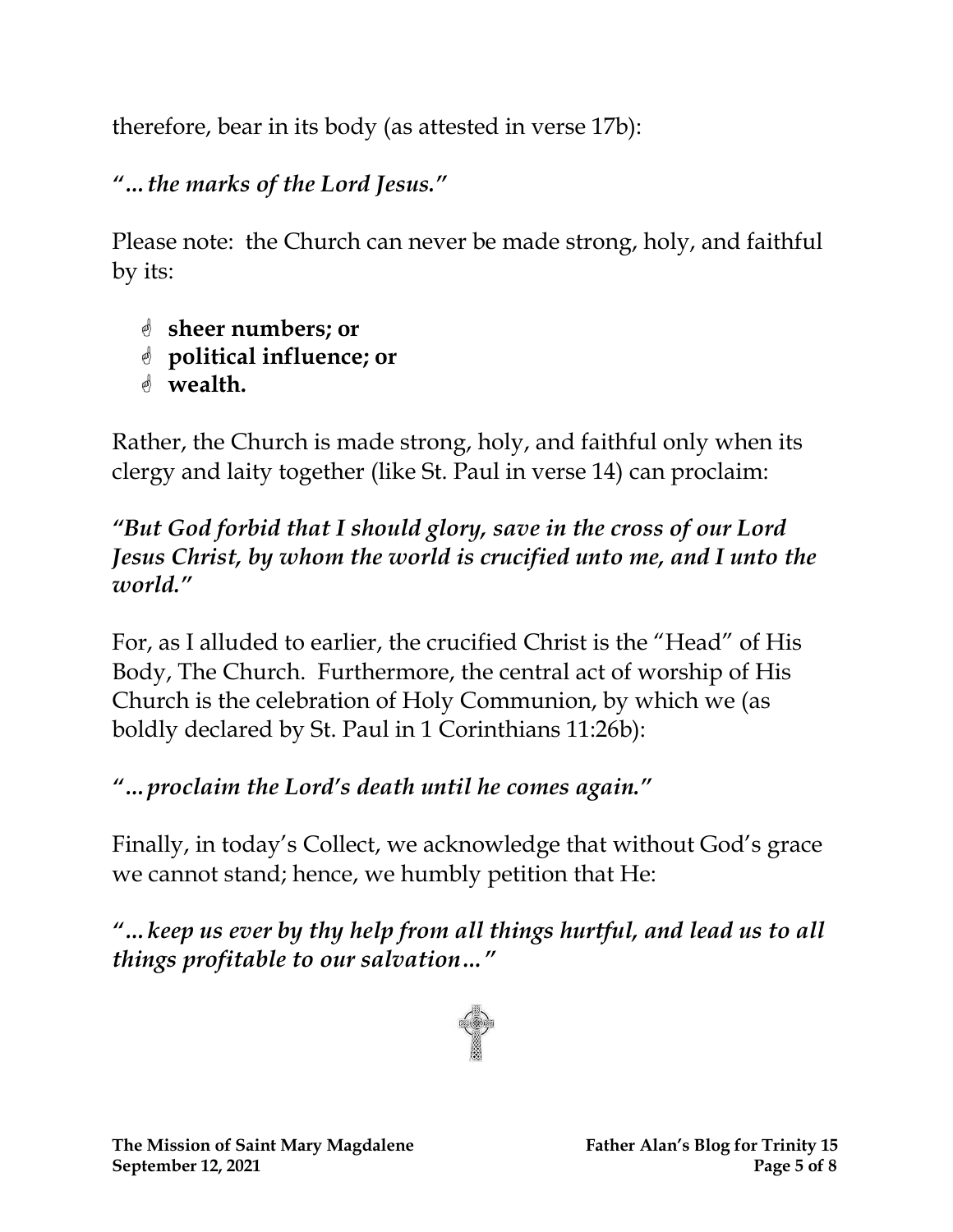therefore, bear in its body (as attested in verse 17b):

*"…the marks of the Lord Jesus."*

Please note: the Church can never be made strong, holy, and faithful by its:

- **sheer numbers; or**
- **political influence; or**
- **wealth.**

Rather, the Church is made strong, holy, and faithful only when its clergy and laity together (like St. Paul in verse 14) can proclaim:

#### *"But God forbid that I should glory, save in the cross of our Lord Jesus Christ, by whom the world is crucified unto me, and I unto the world."*

For, as I alluded to earlier, the crucified Christ is the "Head" of His Body, The Church. Furthermore, the central act of worship of His Church is the celebration of Holy Communion, by which we (as boldly declared by St. Paul in 1 Corinthians 11:26b):

## *"…proclaim the Lord's death until he comes again."*

Finally, in today's Collect, we acknowledge that without God's grace we cannot stand; hence, we humbly petition that He:

*"…keep us ever by thy help from all things hurtful, and lead us to all things profitable to our salvation…"*

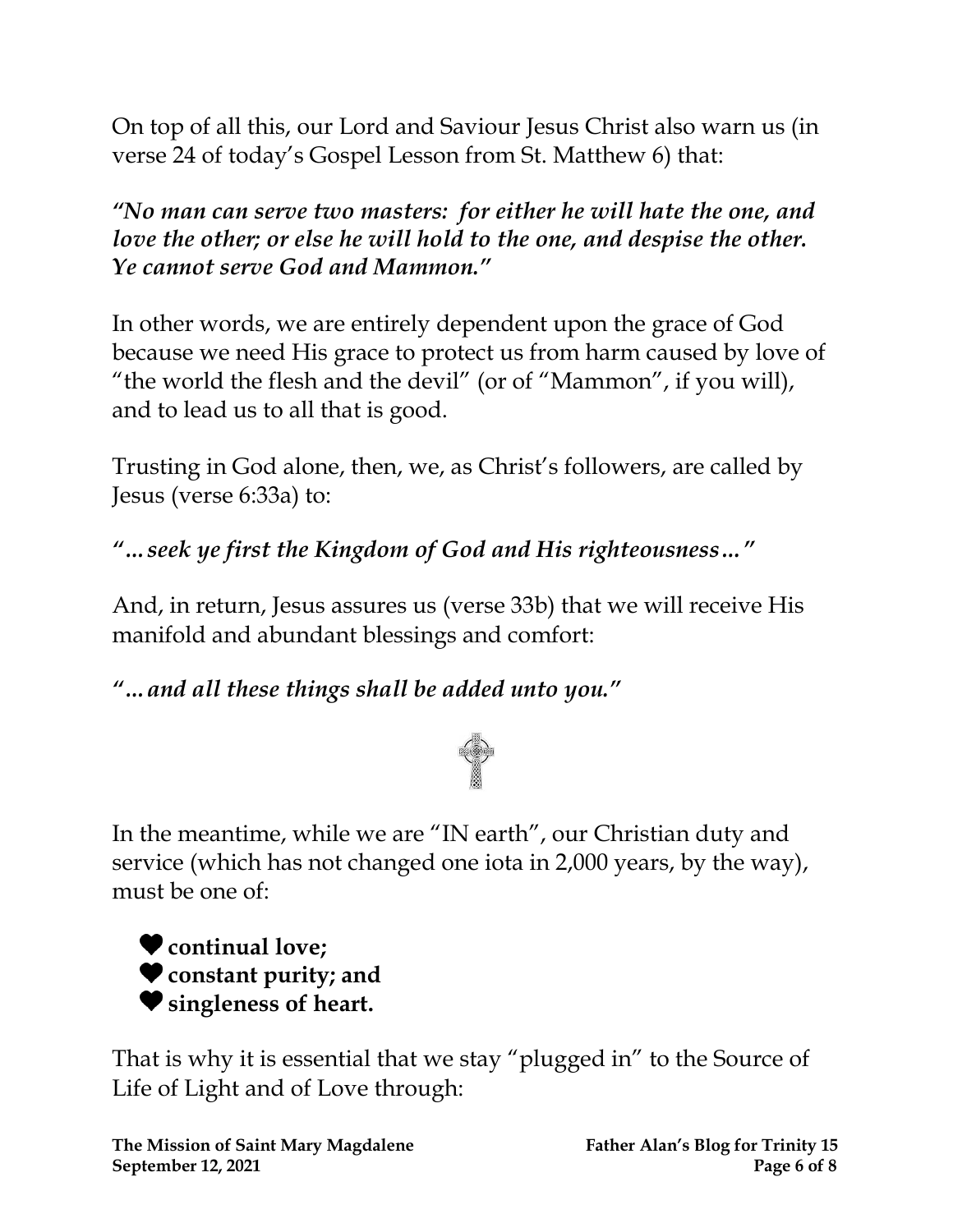On top of all this, our Lord and Saviour Jesus Christ also warn us (in verse 24 of today's Gospel Lesson from St. Matthew 6) that:

*"No man can serve two masters: for either he will hate the one, and love the other; or else he will hold to the one, and despise the other. Ye cannot serve God and Mammon."*

In other words, we are entirely dependent upon the grace of God because we need His grace to protect us from harm caused by love of "the world the flesh and the devil" (or of "Mammon", if you will), and to lead us to all that is good.

Trusting in God alone, then, we, as Christ's followers, are called by Jesus (verse 6:33a) to:

*"…seek ye first the Kingdom of God and His righteousness…"*

And, in return, Jesus assures us (verse 33b) that we will receive His manifold and abundant blessings and comfort:

*"…and all these things shall be added unto you."*



In the meantime, while we are "IN earth", our Christian duty and service (which has not changed one iota in 2,000 years, by the way), must be one of:

**continual love; constant purity; and singleness of heart.**

That is why it is essential that we stay "plugged in" to the Source of Life of Light and of Love through: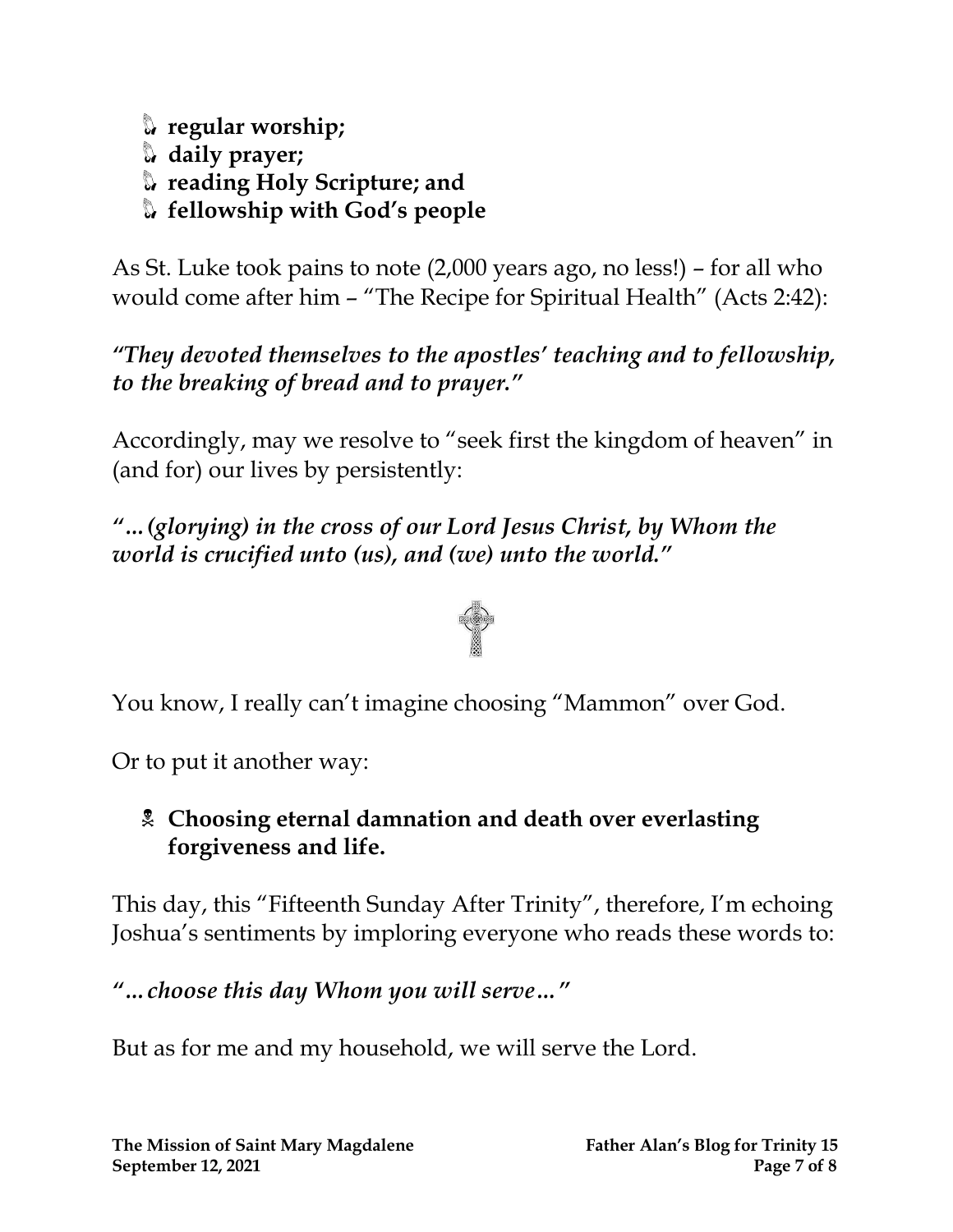**regular worship; daily prayer; reading Holy Scripture; and fellowship with God's people**

As St. Luke took pains to note (2,000 years ago, no less!) – for all who would come after him – "The Recipe for Spiritual Health" (Acts 2:42):

*"They devoted themselves to the apostles' teaching and to fellowship, to the breaking of bread and to prayer."*

Accordingly, may we resolve to "seek first the kingdom of heaven" in (and for) our lives by persistently:

*"…(glorying) in the cross of our Lord Jesus Christ, by Whom the world is crucified unto (us), and (we) unto the world."*



You know, I really can't imagine choosing "Mammon" over God.

Or to put it another way:

#### **Choosing eternal damnation and death over everlasting forgiveness and life.**

This day, this "Fifteenth Sunday After Trinity", therefore, I'm echoing Joshua's sentiments by imploring everyone who reads these words to:

*"…choose this day Whom you will serve…"*

But as for me and my household, we will serve the Lord.